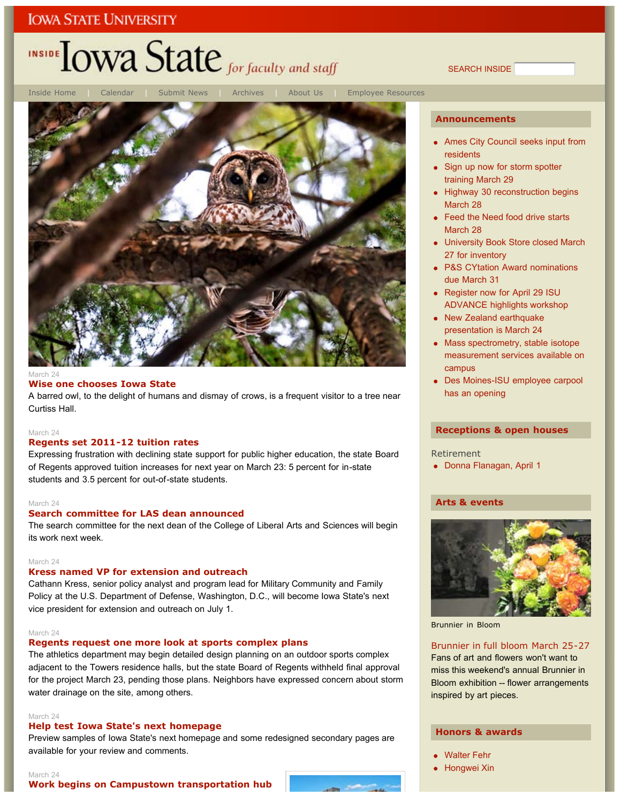# INSIDE LOWA State for faculty and staff

SEARCH INSIDE



#### March 24

### **Wise one chooses Iowa State**

A barred owl, to the delight of humans and dismay of crows, is a frequent visitor to a tree near Curtiss Hall.

#### March 24

### **Regents set 2011-12 tuition rates**

Expressing frustration with declining state support for public higher education, the state Board of Regents approved tuition increases for next year on March 23: 5 percent for in-state students and 3.5 percent for out-of-state students.

#### March 24

### **Search committee for LAS dean announced**

The search committee for the next dean of the College of Liberal Arts and Sciences will begin its work next week.

#### March 24

### **Kress named VP for extension and outreach**

Cathann Kress, senior policy analyst and program lead for Military Community and Family Policy at the U.S. Department of Defense, Washington, D.C., will become Iowa State's next vice president for extension and outreach on July 1.

#### March 24

#### **Regents request one more look at sports complex plans**

The athletics department may begin detailed design planning on an outdoor sports complex adjacent to the Towers residence halls, but the state Board of Regents withheld final approval for the project March 23, pending those plans. Neighbors have expressed concern about storm water drainage on the site, among others.

#### March 24

### **Help test Iowa State's next homepage**

Preview samples of Iowa State's next homepage and some redesigned secondary pages are available for your review and comments.

#### March 24 **Work begins on Campustown transportation hub**



#### **Announcements**

- Ames City Council seeks input from residents
- Sign up now for storm spotter training March 29
- Highway 30 reconstruction begins March 28
- Feed the Need food drive starts March 28
- University Book Store closed March 27 for inventory
- P&S CYtation Award nominations due March 31
- Register now for April 29 ISU ADVANCE highlights workshop
- New Zealand earthquake presentation is March 24
- Mass spectrometry, stable isotope measurement services available on campus
- Des Moines-ISU employee carpool has an opening

#### **Receptions & open houses**

#### Retirement

Donna Flanagan, April 1

### **Arts & events**



Brunnier in Bloom

#### Brunnier in full bloom March 25-27

Fans of art and flowers won't want to miss this weekend's annual Brunnier in Bloom exhibition -- flower arrangements inspired by art pieces.

### **Honors & awards**

- Walter Fehr
- **Hongwei Xin**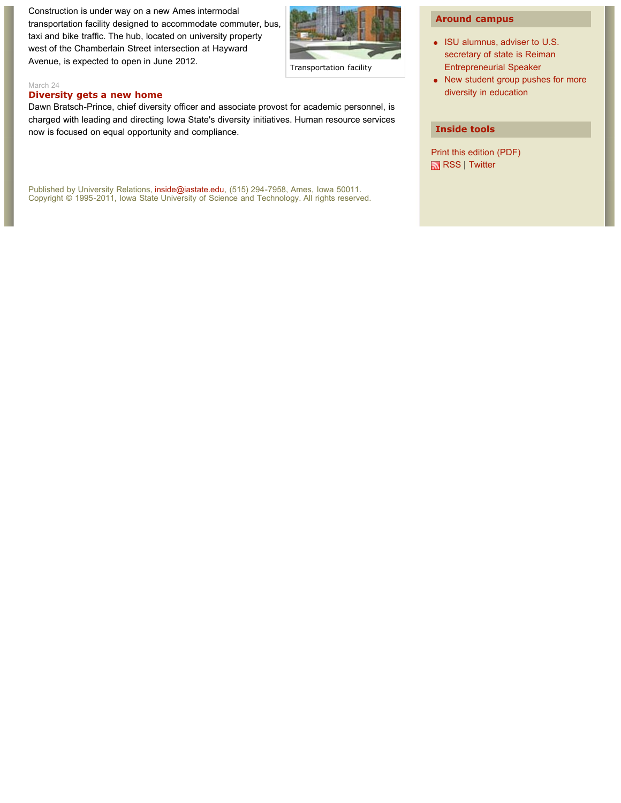Construction is under way on a new Ames intermodal transportation facility designed to accommodate commuter, bus, taxi and bike traffic. The hub, located on university property west of the Chamberlain Street intersection at Hayward Avenue, is expected to open in June 2012.



Transportation facility

#### March 24

#### **Diversity gets a new home**

Dawn Bratsch-Prince, chief diversity officer and associate provost for academic personnel, is charged with leading and directing Iowa State's diversity initiatives. Human resource services now is focused on equal opportunity and compliance.

Published by University Relations, inside@iastate.edu, (515) 294-7958, Ames, Iowa 50011. Copyright © 1995-2011, Iowa State University of Science and Technology. All rights reserved.

### **Around campus**

- ISU alumnus, adviser to U.S. secretary of state is Reiman Entrepreneurial Speaker
- New student group pushes for more diversity in education

### **Inside tools**

Print this edition (PDF) RSS | Twitter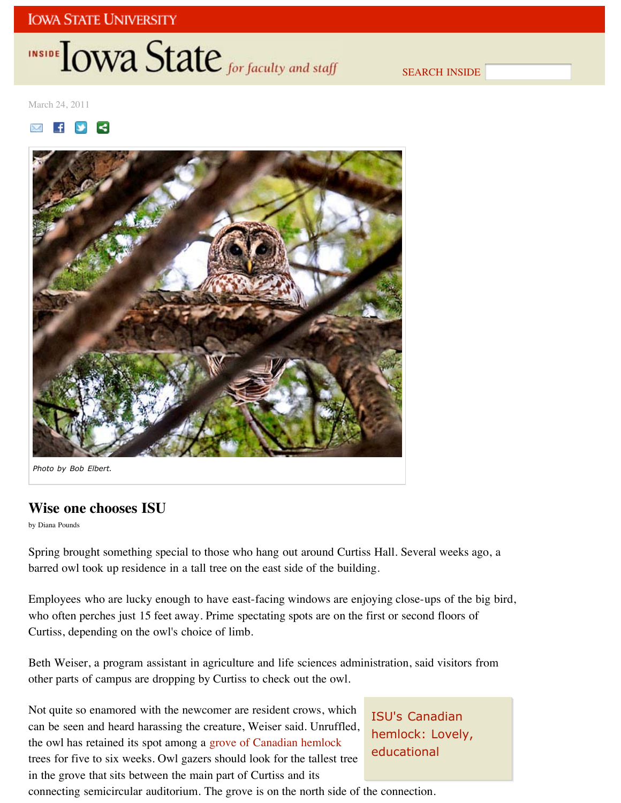# INSIDE **LOWA State** for faculty and staff

SEARCH INSIDE

March 24, 2011





*Photo by Bob Elbert.*

## **Wise one chooses ISU**

by Diana Pounds

Spring brought something special to those who hang out around Curtiss Hall. Several weeks ago, a barred owl took up residence in a tall tree on the east side of the building.

Employees who are lucky enough to have east-facing windows are enjoying close-ups of the big bird, who often perches just 15 feet away. Prime spectating spots are on the first or second floors of Curtiss, depending on the owl's choice of limb.

Beth Weiser, a program assistant in agriculture and life sciences administration, said visitors from other parts of campus are dropping by Curtiss to check out the owl.

Not quite so enamored with the newcomer are resident crows, which can be seen and heard harassing the creature, Weiser said. Unruffled, the owl has retained its spot among a grove of Canadian hemlock trees for five to six weeks. Owl gazers should look for the tallest tree in the grove that sits between the main part of Curtiss and its

ISU's Canadian hemlock: Lovely, educational

connecting semicircular auditorium. The grove is on the north side of the connection.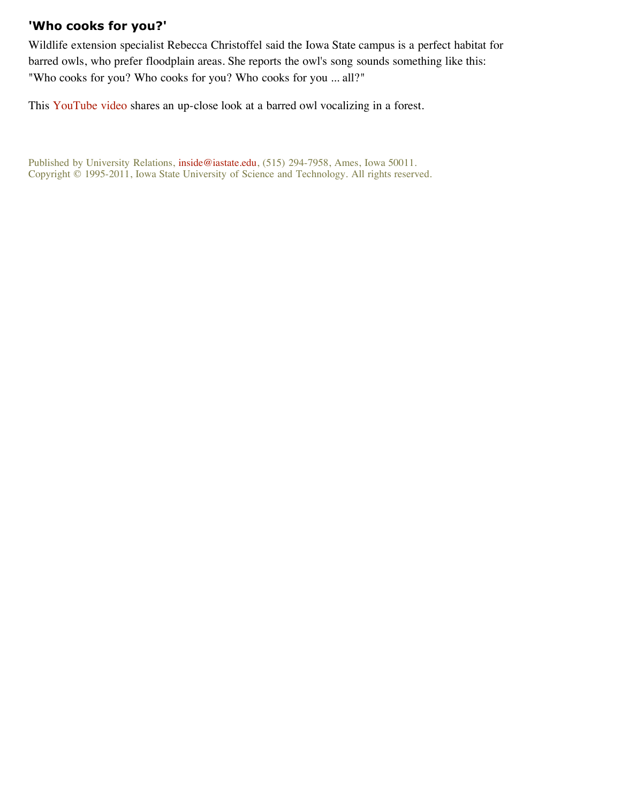## **'Who cooks for you?'**

Wildlife extension specialist Rebecca Christoffel said the Iowa State campus is a perfect habitat for barred owls, who prefer floodplain areas. She reports the owl's song sounds something like this: "Who cooks for you? Who cooks for you? Who cooks for you ... all?"

This YouTube video shares an up-close look at a barred owl vocalizing in a forest.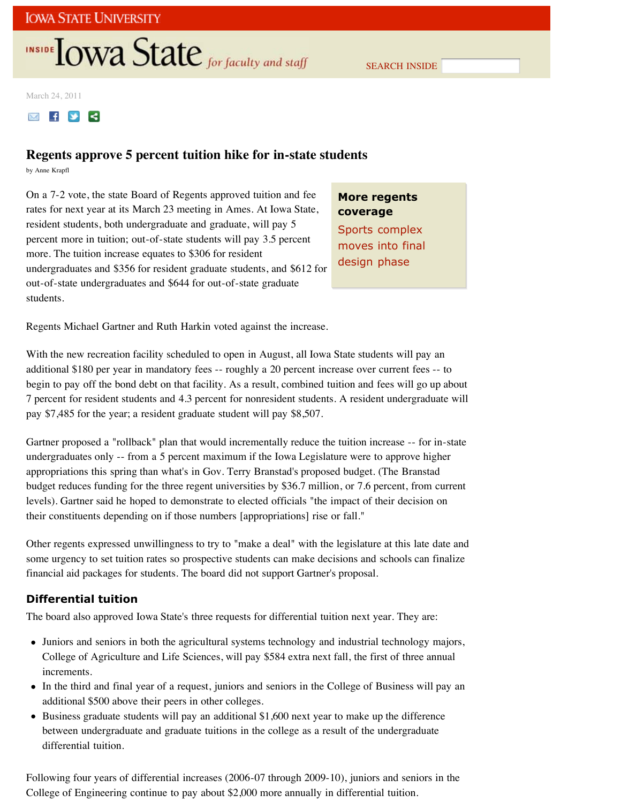# **INSIDE TOWA State** for faculty and staff

SEARCH INSIDE

March 24, 2011



## **Regents approve 5 percent tuition hike for in-state students**

by Anne Krapfl

On a 7-2 vote, the state Board of Regents approved tuition and fee rates for next year at its March 23 meeting in Ames. At Iowa State, resident students, both undergraduate and graduate, will pay 5 percent more in tuition; out-of-state students will pay 3.5 percent more. The tuition increase equates to \$306 for resident undergraduates and \$356 for resident graduate students, and \$612 for out-of-state undergraduates and \$644 for out-of-state graduate students.

**More regents coverage** Sports complex moves into final design phase

Regents Michael Gartner and Ruth Harkin voted against the increase.

With the new recreation facility scheduled to open in August, all Iowa State students will pay an additional \$180 per year in mandatory fees -- roughly a 20 percent increase over current fees -- to begin to pay off the bond debt on that facility. As a result, combined tuition and fees will go up about 7 percent for resident students and 4.3 percent for nonresident students. A resident undergraduate will pay \$7,485 for the year; a resident graduate student will pay \$8,507.

Gartner proposed a "rollback" plan that would incrementally reduce the tuition increase -- for in-state undergraduates only -- from a 5 percent maximum if the Iowa Legislature were to approve higher appropriations this spring than what's in Gov. Terry Branstad's proposed budget. (The Branstad budget reduces funding for the three regent universities by \$36.7 million, or 7.6 percent, from current levels). Gartner said he hoped to demonstrate to elected officials "the impact of their decision on their constituents depending on if those numbers [appropriations] rise or fall."

Other regents expressed unwillingness to try to "make a deal" with the legislature at this late date and some urgency to set tuition rates so prospective students can make decisions and schools can finalize financial aid packages for students. The board did not support Gartner's proposal.

## **Differential tuition**

The board also approved Iowa State's three requests for differential tuition next year. They are:

- Juniors and seniors in both the agricultural systems technology and industrial technology majors, College of Agriculture and Life Sciences, will pay \$584 extra next fall, the first of three annual increments.
- In the third and final year of a request, juniors and seniors in the College of Business will pay an additional \$500 above their peers in other colleges.
- Business graduate students will pay an additional \$1,600 next year to make up the difference between undergraduate and graduate tuitions in the college as a result of the undergraduate differential tuition.

Following four years of differential increases (2006-07 through 2009-10), juniors and seniors in the College of Engineering continue to pay about \$2,000 more annually in differential tuition.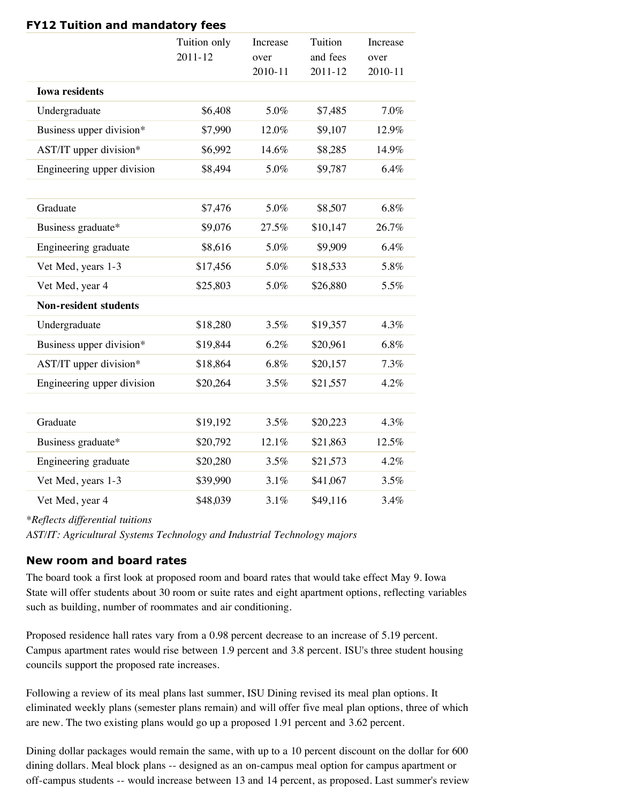| <b>ILL</b> TURNUM AND MANUALUM TEES |                             |                             |                                    |                             |  |
|-------------------------------------|-----------------------------|-----------------------------|------------------------------------|-----------------------------|--|
|                                     | Tuition only<br>$2011 - 12$ | Increase<br>over<br>2010-11 | Tuition<br>and fees<br>$2011 - 12$ | Increase<br>over<br>2010-11 |  |
| <b>Iowa residents</b>               |                             |                             |                                    |                             |  |
| Undergraduate                       | \$6,408                     | 5.0%                        | \$7,485                            | 7.0%                        |  |
| Business upper division*            | \$7,990                     | 12.0%                       | \$9,107                            | 12.9%                       |  |
| AST/IT upper division*              | \$6,992                     | 14.6%                       | \$8,285                            | 14.9%                       |  |
| Engineering upper division          | \$8,494                     | 5.0%                        | \$9,787                            | 6.4%                        |  |
|                                     |                             |                             |                                    |                             |  |
| Graduate                            | \$7,476                     | 5.0%                        | \$8,507                            | 6.8%                        |  |
| Business graduate*                  | \$9,076                     | 27.5%                       | \$10,147                           | 26.7%                       |  |
| Engineering graduate                | \$8,616                     | 5.0%                        | \$9,909                            | 6.4%                        |  |
| Vet Med, years 1-3                  | \$17,456                    | 5.0%                        | \$18,533                           | 5.8%                        |  |
| Vet Med, year 4                     | \$25,803                    | 5.0%                        | \$26,880                           | 5.5%                        |  |
| <b>Non-resident students</b>        |                             |                             |                                    |                             |  |
| Undergraduate                       | \$18,280                    | 3.5%                        | \$19,357                           | 4.3%                        |  |
| Business upper division*            | \$19,844                    | 6.2%                        | \$20,961                           | 6.8%                        |  |
| AST/IT upper division*              | \$18,864                    | 6.8%                        | \$20,157                           | 7.3%                        |  |
| Engineering upper division          | \$20,264                    | 3.5%                        | \$21,557                           | 4.2%                        |  |
|                                     |                             |                             |                                    |                             |  |
| Graduate                            | \$19,192                    | 3.5%                        | \$20,223                           | 4.3%                        |  |
| Business graduate*                  | \$20,792                    | 12.1%                       | \$21,863                           | 12.5%                       |  |
| Engineering graduate                | \$20,280                    | 3.5%                        | \$21,573                           | 4.2%                        |  |
| Vet Med, years 1-3                  | \$39,990                    | 3.1%                        | \$41,067                           | 3.5%                        |  |
| Vet Med, year 4                     | \$48,039                    | 3.1%                        | \$49,116                           | 3.4%                        |  |

**FY12 Tuition and mandatory fees**

*\*Reflects differential tuitions*

*AST/IT: Agricultural Systems Technology and Industrial Technology majors*

## **New room and board rates**

The board took a first look at proposed room and board rates that would take effect May 9. Iowa State will offer students about 30 room or suite rates and eight apartment options, reflecting variables such as building, number of roommates and air conditioning.

Proposed residence hall rates vary from a 0.98 percent decrease to an increase of 5.19 percent. Campus apartment rates would rise between 1.9 percent and 3.8 percent. ISU's three student housing councils support the proposed rate increases.

Following a review of its meal plans last summer, ISU Dining revised its meal plan options. It eliminated weekly plans (semester plans remain) and will offer five meal plan options, three of which are new. The two existing plans would go up a proposed 1.91 percent and 3.62 percent.

Dining dollar packages would remain the same, with up to a 10 percent discount on the dollar for 600 dining dollars. Meal block plans -- designed as an on-campus meal option for campus apartment or off-campus students -- would increase between 13 and 14 percent, as proposed. Last summer's review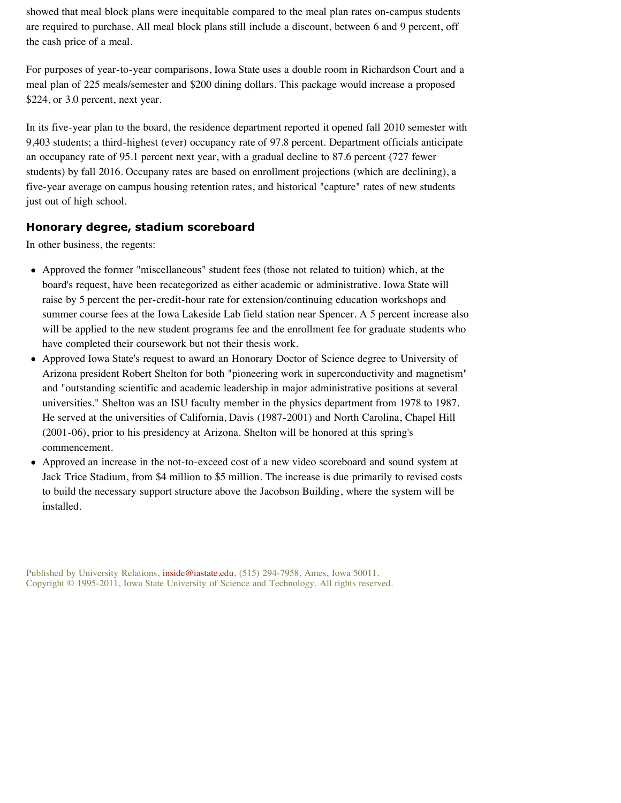showed that meal block plans were inequitable compared to the meal plan rates on-campus students are required to purchase. All meal block plans still include a discount, between 6 and 9 percent, off the cash price of a meal.

For purposes of year-to-year comparisons, Iowa State uses a double room in Richardson Court and a meal plan of 225 meals/semester and \$200 dining dollars. This package would increase a proposed \$224, or 3.0 percent, next year.

In its five-year plan to the board, the residence department reported it opened fall 2010 semester with 9,403 students; a third-highest (ever) occupancy rate of 97.8 percent. Department officials anticipate an occupancy rate of 95.1 percent next year, with a gradual decline to 87.6 percent (727 fewer students) by fall 2016. Occupany rates are based on enrollment projections (which are declining), a five-year average on campus housing retention rates, and historical "capture" rates of new students just out of high school.

## **Honorary degree, stadium scoreboard**

In other business, the regents:

- Approved the former "miscellaneous" student fees (those not related to tuition) which, at the board's request, have been recategorized as either academic or administrative. Iowa State will raise by 5 percent the per-credit-hour rate for extension/continuing education workshops and summer course fees at the Iowa Lakeside Lab field station near Spencer. A 5 percent increase also will be applied to the new student programs fee and the enrollment fee for graduate students who have completed their coursework but not their thesis work.
- Approved Iowa State's request to award an Honorary Doctor of Science degree to University of Arizona president Robert Shelton for both "pioneering work in superconductivity and magnetism" and "outstanding scientific and academic leadership in major administrative positions at several universities." Shelton was an ISU faculty member in the physics department from 1978 to 1987. He served at the universities of California, Davis (1987-2001) and North Carolina, Chapel Hill (2001-06), prior to his presidency at Arizona. Shelton will be honored at this spring's commencement.
- Approved an increase in the not-to-exceed cost of a new video scoreboard and sound system at  $\bullet$ Jack Trice Stadium, from \$4 million to \$5 million. The increase is due primarily to revised costs to build the necessary support structure above the Jacobson Building, where the system will be installed.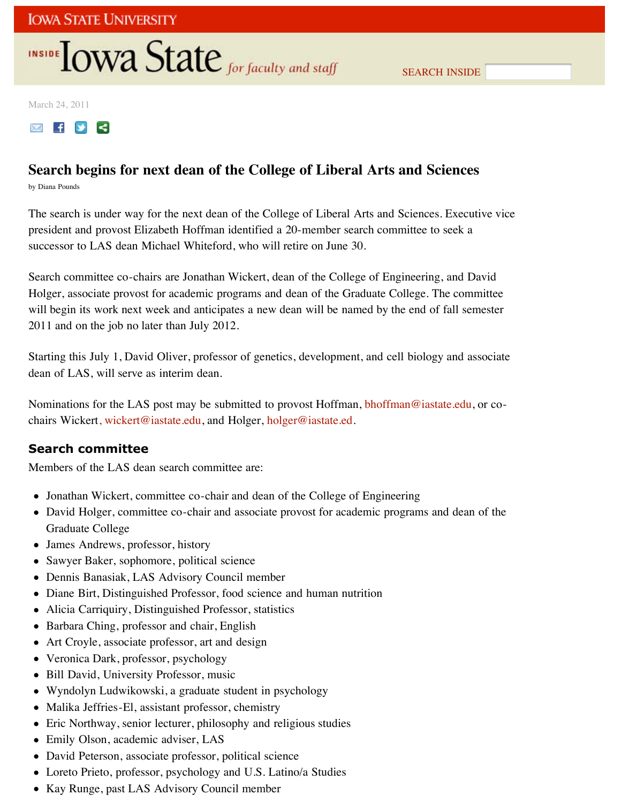# INSIDE **IOWA State** for faculty and staff

March 24, 2011



## **Search begins for next dean of the College of Liberal Arts and Sciences**

by Diana Pounds

The search is under way for the next dean of the College of Liberal Arts and Sciences. Executive vice president and provost Elizabeth Hoffman identified a 20-member search committee to seek a successor to LAS dean Michael Whiteford, who will retire on June 30.

Search committee co-chairs are Jonathan Wickert, dean of the College of Engineering, and David Holger, associate provost for academic programs and dean of the Graduate College. The committee will begin its work next week and anticipates a new dean will be named by the end of fall semester 2011 and on the job no later than July 2012.

Starting this July 1, David Oliver, professor of genetics, development, and cell biology and associate dean of LAS, will serve as interim dean.

Nominations for the LAS post may be submitted to provost Hoffman, bhoffman@iastate.edu, or cochairs Wickert, wickert@iastate.edu, and Holger, holger@iastate.ed.

## **Search committee**

Members of the LAS dean search committee are:

- Jonathan Wickert, committee co-chair and dean of the College of Engineering
- David Holger, committee co-chair and associate provost for academic programs and dean of the Graduate College
- James Andrews, professor, history
- Sawyer Baker, sophomore, political science
- Dennis Banasiak, LAS Advisory Council member
- Diane Birt, Distinguished Professor, food science and human nutrition
- Alicia Carriquiry, Distinguished Professor, statistics
- Barbara Ching, professor and chair, English
- Art Croyle, associate professor, art and design
- Veronica Dark, professor, psychology
- Bill David, University Professor, music
- Wyndolyn Ludwikowski, a graduate student in psychology
- Malika Jeffries-El, assistant professor, chemistry
- Eric Northway, senior lecturer, philosophy and religious studies
- Emily Olson, academic adviser, LAS
- David Peterson, associate professor, political science
- Loreto Prieto, professor, psychology and U.S. Latino/a Studies
- Kay Runge, past LAS Advisory Council member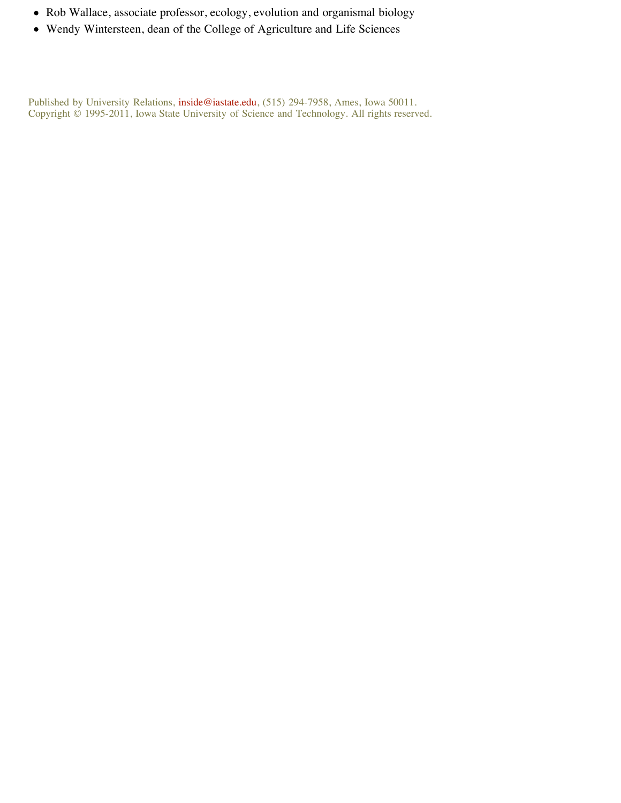- Rob Wallace, associate professor, ecology, evolution and organismal biology
- Wendy Wintersteen, dean of the College of Agriculture and Life Sciences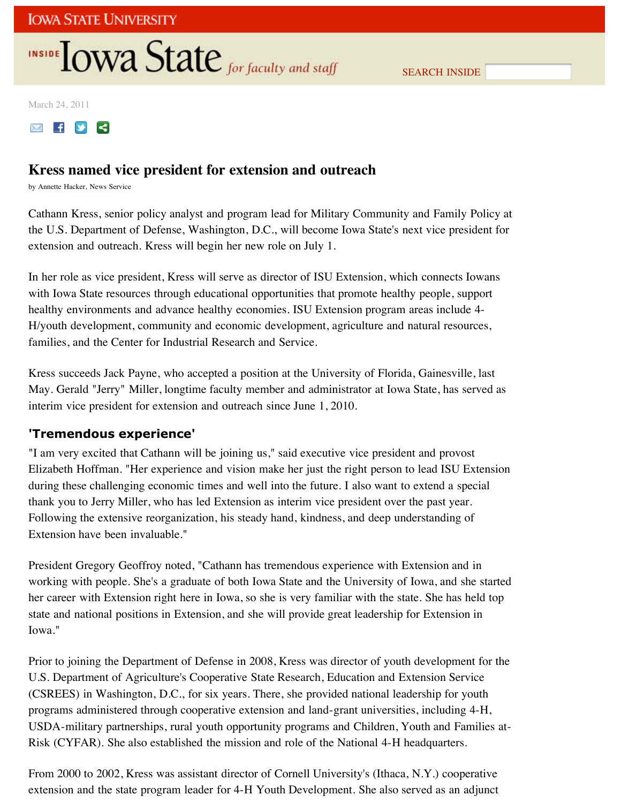# **INSIDE TOWA State** for faculty and staff

SEARCH INSIDE

March 24, 2011



## **Kress named vice president for extension and outreach**

by Annette Hacker, News Service

Cathann Kress, senior policy analyst and program lead for Military Community and Family Policy at the U.S. Department of Defense, Washington, D.C., will become Iowa State's next vice president for extension and outreach. Kress will begin her new role on July 1.

In her role as vice president, Kress will serve as director of ISU Extension, which connects Iowans with Iowa State resources through educational opportunities that promote healthy people, support healthy environments and advance healthy economies. ISU Extension program areas include 4- H/youth development, community and economic development, agriculture and natural resources, families, and the Center for Industrial Research and Service.

Kress succeeds Jack Payne, who accepted a position at the University of Florida, Gainesville, last May. Gerald "Jerry" Miller, longtime faculty member and administrator at Iowa State, has served as interim vice president for extension and outreach since June 1, 2010.

## **'Tremendous experience'**

"I am very excited that Cathann will be joining us," said executive vice president and provost Elizabeth Hoffman. "Her experience and vision make her just the right person to lead ISU Extension during these challenging economic times and well into the future. I also want to extend a special thank you to Jerry Miller, who has led Extension as interim vice president over the past year. Following the extensive reorganization, his steady hand, kindness, and deep understanding of Extension have been invaluable."

President Gregory Geoffroy noted, "Cathann has tremendous experience with Extension and in working with people. She's a graduate of both Iowa State and the University of Iowa, and she started her career with Extension right here in Iowa, so she is very familiar with the state. She has held top state and national positions in Extension, and she will provide great leadership for Extension in Iowa."

Prior to joining the Department of Defense in 2008, Kress was director of youth development for the U.S. Department of Agriculture's Cooperative State Research, Education and Extension Service (CSREES) in Washington, D.C., for six years. There, she provided national leadership for youth programs administered through cooperative extension and land-grant universities, including 4-H, USDA-military partnerships, rural youth opportunity programs and Children, Youth and Families at-Risk (CYFAR). She also established the mission and role of the National 4-H headquarters.

From 2000 to 2002, Kress was assistant director of Cornell University's (Ithaca, N.Y.) cooperative extension and the state program leader for 4-H Youth Development. She also served as an adjunct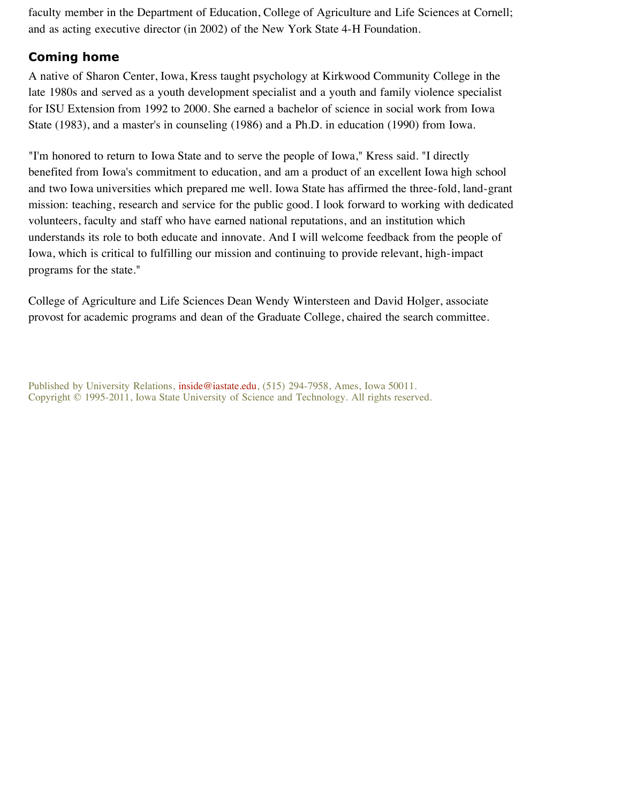faculty member in the Department of Education, College of Agriculture and Life Sciences at Cornell; and as acting executive director (in 2002) of the New York State 4-H Foundation.

## **Coming home**

A native of Sharon Center, Iowa, Kress taught psychology at Kirkwood Community College in the late 1980s and served as a youth development specialist and a youth and family violence specialist for ISU Extension from 1992 to 2000. She earned a bachelor of science in social work from Iowa State (1983), and a master's in counseling (1986) and a Ph.D. in education (1990) from Iowa.

"I'm honored to return to Iowa State and to serve the people of Iowa," Kress said. "I directly benefited from Iowa's commitment to education, and am a product of an excellent Iowa high school and two Iowa universities which prepared me well. Iowa State has affirmed the three-fold, land-grant mission: teaching, research and service for the public good. I look forward to working with dedicated volunteers, faculty and staff who have earned national reputations, and an institution which understands its role to both educate and innovate. And I will welcome feedback from the people of Iowa, which is critical to fulfilling our mission and continuing to provide relevant, high-impact programs for the state."

College of Agriculture and Life Sciences Dean Wendy Wintersteen and David Holger, associate provost for academic programs and dean of the Graduate College, chaired the search committee.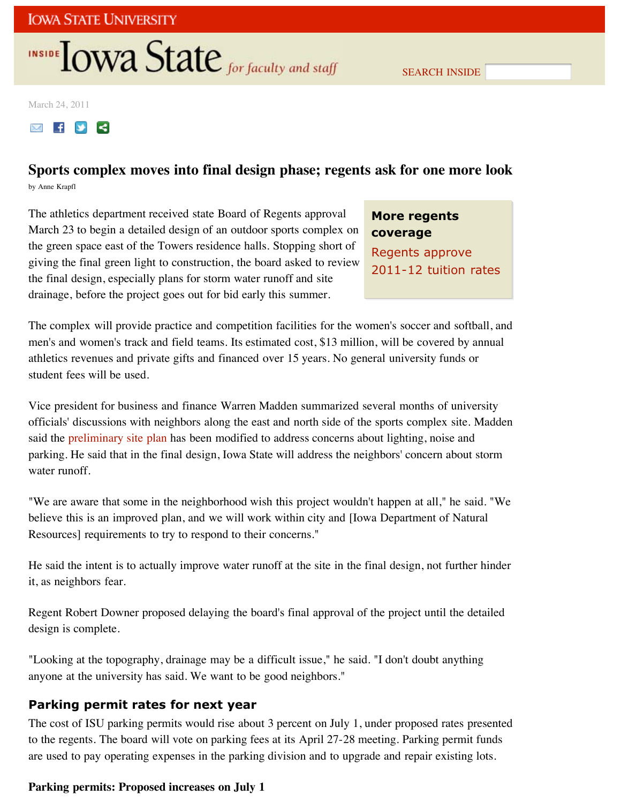# **INSIDE OWA State** for faculty and staff

SEARCH INSIDE

March 24, 2011

**MIFY** 

## **Sports complex moves into final design phase; regents ask for one more look** by Anne Krapfl

The athletics department received state Board of Regents approval March 23 to begin a detailed design of an outdoor sports complex on the green space east of the Towers residence halls. Stopping short of giving the final green light to construction, the board asked to review the final design, especially plans for storm water runoff and site drainage, before the project goes out for bid early this summer.

# **More regents coverage**

Regents approve 2011-12 tuition rates

The complex will provide practice and competition facilities for the women's soccer and softball, and men's and women's track and field teams. Its estimated cost, \$13 million, will be covered by annual athletics revenues and private gifts and financed over 15 years. No general university funds or student fees will be used.

Vice president for business and finance Warren Madden summarized several months of university officials' discussions with neighbors along the east and north side of the sports complex site. Madden said the preliminary site plan has been modified to address concerns about lighting, noise and parking. He said that in the final design, Iowa State will address the neighbors' concern about storm water runoff.

"We are aware that some in the neighborhood wish this project wouldn't happen at all," he said. "We believe this is an improved plan, and we will work within city and [Iowa Department of Natural Resources] requirements to try to respond to their concerns."

He said the intent is to actually improve water runoff at the site in the final design, not further hinder it, as neighbors fear.

Regent Robert Downer proposed delaying the board's final approval of the project until the detailed design is complete.

"Looking at the topography, drainage may be a difficult issue," he said. "I don't doubt anything anyone at the university has said. We want to be good neighbors."

## **Parking permit rates for next year**

The cost of ISU parking permits would rise about 3 percent on July 1, under proposed rates presented to the regents. The board will vote on parking fees at its April 27-28 meeting. Parking permit funds are used to pay operating expenses in the parking division and to upgrade and repair existing lots.

## **Parking permits: Proposed increases on July 1**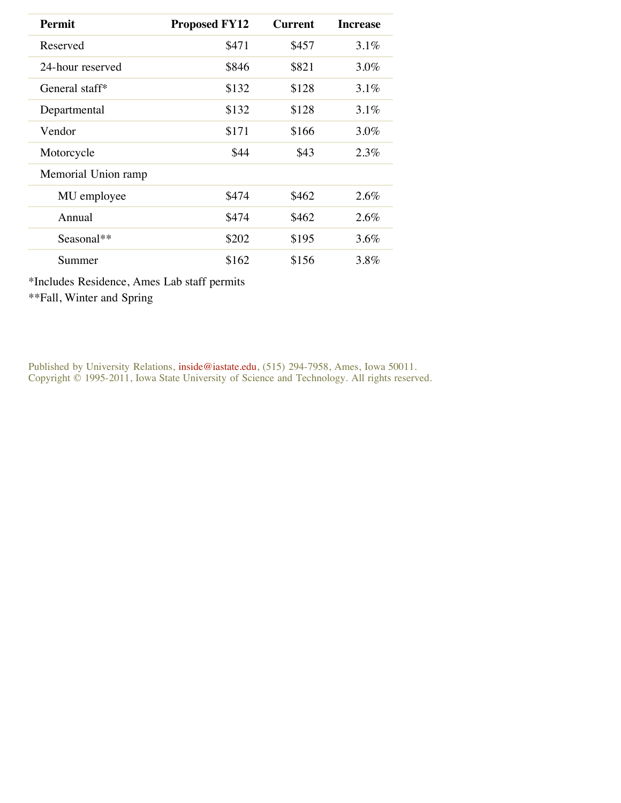| <b>Permit</b>       | <b>Proposed FY12</b> | <b>Current</b> | <b>Increase</b> |
|---------------------|----------------------|----------------|-----------------|
| Reserved            | \$471                | \$457          | 3.1%            |
| 24-hour reserved    | \$846                | \$821          | $3.0\%$         |
| General staff*      | \$132                | \$128          | $3.1\%$         |
| Departmental        | \$132                | \$128          | $3.1\%$         |
| Vendor              | \$171                | \$166          | $3.0\%$         |
| Motorcycle          | \$44                 | \$43           | 2.3%            |
| Memorial Union ramp |                      |                |                 |
| MU employee         | \$474                | \$462          | 2.6%            |
| Annual              | \$474                | \$462          | 2.6%            |
| Seasonal**          | \$202                | \$195          | 3.6%            |
| Summer              | \$162                | \$156          | 3.8%            |

\*Includes Residence, Ames Lab staff permits

\*\*Fall, Winter and Spring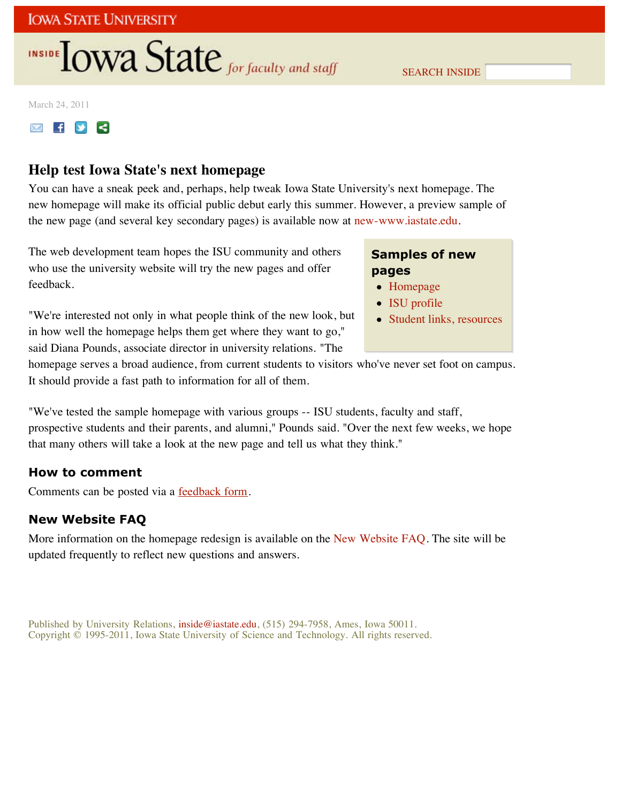# INSIDE **LOWA State** for faculty and staff

SEARCH INSIDE

March 24, 2011

**MIFY** 

## **Help test Iowa State's next homepage**

You can have a sneak peek and, perhaps, help tweak Iowa State University's next homepage. The new homepage will make its official public debut early this summer. However, a preview sample of the new page (and several key secondary pages) is available now at new-www.iastate.edu.

The web development team hopes the ISU community and others who use the university website will try the new pages and offer feedback.

"We're interested not only in what people think of the new look, but in how well the homepage helps them get where they want to go," said Diana Pounds, associate director in university relations. "The

## **Samples of new pages**

- Homepage
- ISU profile
- Student links, resources

homepage serves a broad audience, from current students to visitors who've never set foot on campus. It should provide a fast path to information for all of them.

"We've tested the sample homepage with various groups -- ISU students, faculty and staff, prospective students and their parents, and alumni," Pounds said. "Over the next few weeks, we hope that many others will take a look at the new page and tell us what they think."

## **How to comment**

Comments can be posted via a **feedback form**.

## **New Website FAQ**

More information on the homepage redesign is available on the New Website FAQ. The site will be updated frequently to reflect new questions and answers.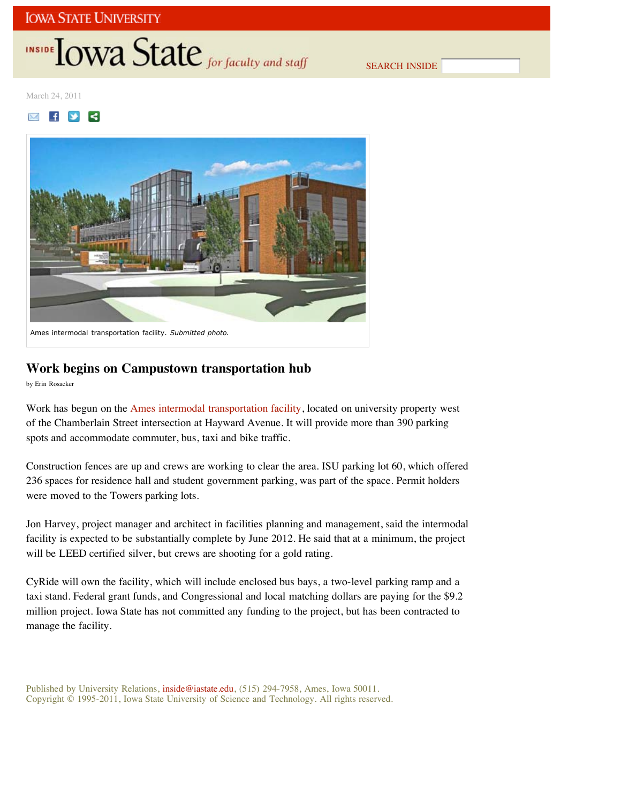# INSIDE TOWA State for faculty and staff

SEARCH INSIDE

March 24, 2011

## $\blacksquare$   $\blacksquare$   $\blacksquare$



## **Work begins on Campustown transportation hub**

by Erin Rosacker

Work has begun on the Ames intermodal transportation facility, located on university property west of the Chamberlain Street intersection at Hayward Avenue. It will provide more than 390 parking spots and accommodate commuter, bus, taxi and bike traffic.

Construction fences are up and crews are working to clear the area. ISU parking lot 60, which offered 236 spaces for residence hall and student government parking, was part of the space. Permit holders were moved to the Towers parking lots.

Jon Harvey, project manager and architect in facilities planning and management, said the intermodal facility is expected to be substantially complete by June 2012. He said that at a minimum, the project will be LEED certified silver, but crews are shooting for a gold rating.

CyRide will own the facility, which will include enclosed bus bays, a two-level parking ramp and a taxi stand. Federal grant funds, and Congressional and local matching dollars are paying for the \$9.2 million project. Iowa State has not committed any funding to the project, but has been contracted to manage the facility.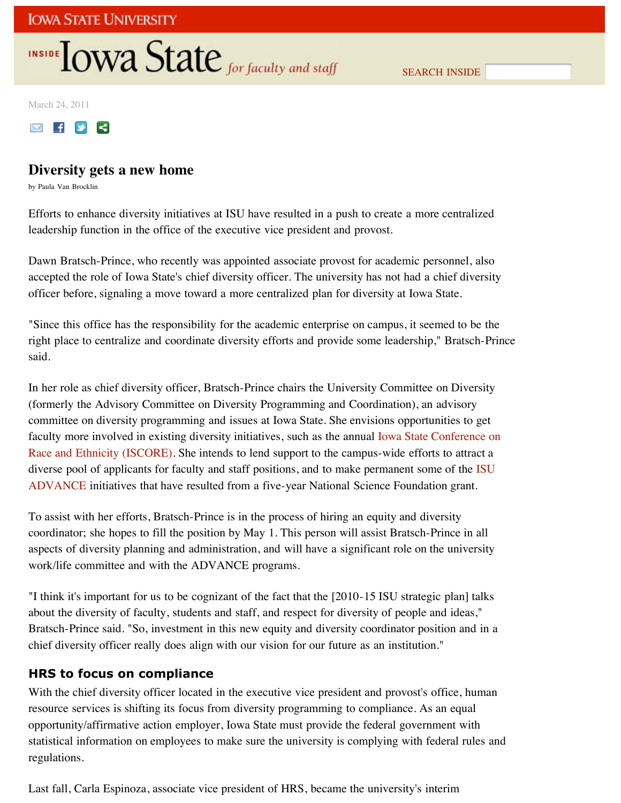# **INSIDE OWA State** for faculty and staff

SEARCH INSIDE

March 24, 2011



## **Diversity gets a new home**

by Paula Van Brocklin

Efforts to enhance diversity initiatives at ISU have resulted in a push to create a more centralized leadership function in the office of the executive vice president and provost.

Dawn Bratsch-Prince, who recently was appointed associate provost for academic personnel, also accepted the role of Iowa State's chief diversity officer. The university has not had a chief diversity officer before, signaling a move toward a more centralized plan for diversity at Iowa State.

"Since this office has the responsibility for the academic enterprise on campus, it seemed to be the right place to centralize and coordinate diversity efforts and provide some leadership," Bratsch-Prince said.

In her role as chief diversity officer, Bratsch-Prince chairs the University Committee on Diversity (formerly the Advisory Committee on Diversity Programming and Coordination), an advisory committee on diversity programming and issues at Iowa State. She envisions opportunities to get faculty more involved in existing diversity initiatives, such as the annual Iowa State Conference on Race and Ethnicity (ISCORE). She intends to lend support to the campus-wide efforts to attract a diverse pool of applicants for faculty and staff positions, and to make permanent some of the ISU ADVANCE initiatives that have resulted from a five-year National Science Foundation grant.

To assist with her efforts, Bratsch-Prince is in the process of hiring an equity and diversity coordinator; she hopes to fill the position by May 1. This person will assist Bratsch-Prince in all aspects of diversity planning and administration, and will have a significant role on the university work/life committee and with the ADVANCE programs.

"I think it's important for us to be cognizant of the fact that the [2010-15 ISU strategic plan] talks about the diversity of faculty, students and staff, and respect for diversity of people and ideas," Bratsch-Prince said. "So, investment in this new equity and diversity coordinator position and in a chief diversity officer really does align with our vision for our future as an institution."

## **HRS to focus on compliance**

With the chief diversity officer located in the executive vice president and provost's office, human resource services is shifting its focus from diversity programming to compliance. As an equal opportunity/affirmative action employer, Iowa State must provide the federal government with statistical information on employees to make sure the university is complying with federal rules and regulations.

Last fall, Carla Espinoza, associate vice president of HRS, became the university's interim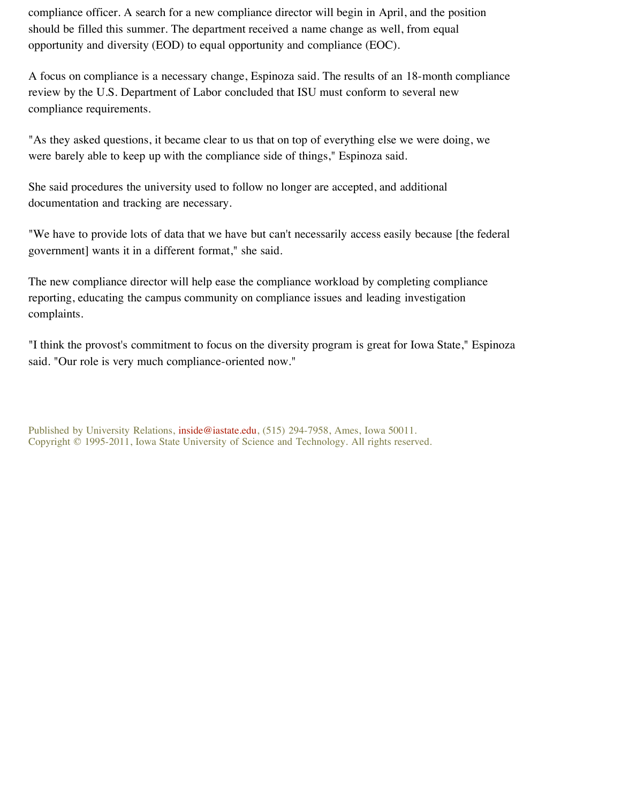compliance officer. A search for a new compliance director will begin in April, and the position should be filled this summer. The department received a name change as well, from equal opportunity and diversity (EOD) to equal opportunity and compliance (EOC).

A focus on compliance is a necessary change, Espinoza said. The results of an 18-month compliance review by the U.S. Department of Labor concluded that ISU must conform to several new compliance requirements.

"As they asked questions, it became clear to us that on top of everything else we were doing, we were barely able to keep up with the compliance side of things," Espinoza said.

She said procedures the university used to follow no longer are accepted, and additional documentation and tracking are necessary.

"We have to provide lots of data that we have but can't necessarily access easily because [the federal government] wants it in a different format," she said.

The new compliance director will help ease the compliance workload by completing compliance reporting, educating the campus community on compliance issues and leading investigation complaints.

"I think the provost's commitment to focus on the diversity program is great for Iowa State," Espinoza said. "Our role is very much compliance-oriented now."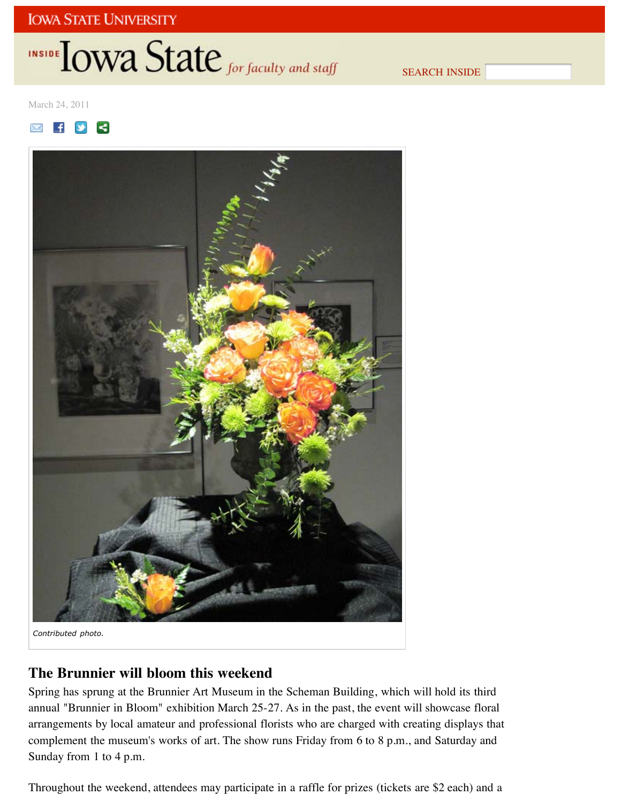# **INSIDE OWA State** for faculty and staff

SEARCH INSIDE

March 24, 2011





## **The Brunnier will bloom this weekend**

Spring has sprung at the Brunnier Art Museum in the Scheman Building, which will hold its third annual "Brunnier in Bloom" exhibition March 25-27. As in the past, the event will showcase floral arrangements by local amateur and professional florists who are charged with creating displays that complement the museum's works of art. The show runs Friday from 6 to 8 p.m., and Saturday and Sunday from 1 to 4 p.m.

Throughout the weekend, attendees may participate in a raffle for prizes (tickets are \$2 each) and a